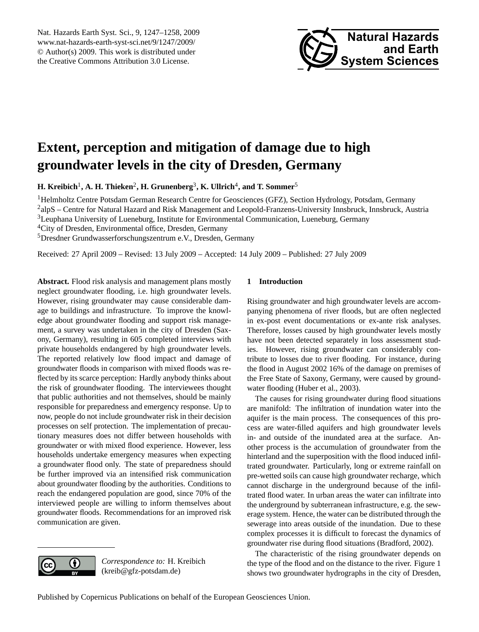<span id="page-0-0"></span>Nat. Hazards Earth Syst. Sci., 9, 1247–1258, 2009 www.nat-hazards-earth-syst-sci.net/9/1247/2009/ © Author(s) 2009. This work is distributed under the Creative Commons Attribution 3.0 License.



# **Extent, perception and mitigation of damage due to high groundwater levels in the city of Dresden, Germany**

 $\mathbf{H.}$  Kreibich<sup>1</sup>, A. H. Thieken<sup>2</sup>, H. Grunenberg<sup>3</sup>, K. Ullrich<sup>4</sup>, and T. Sommer<sup>5</sup>

<sup>1</sup>Helmholtz Centre Potsdam German Research Centre for Geosciences (GFZ), Section Hydrology, Potsdam, Germany  $^2$ alpS – Centre for Natural Hazard and Risk Management and Leopold-Franzens-University Innsbruck, Innsbruck, Austria <sup>3</sup>Leuphana University of Lueneburg, Institute for Environmental Communication, Lueneburg, Germany

<sup>4</sup>City of Dresden, Environmental office, Dresden, Germany

<sup>5</sup>Dresdner Grundwasserforschungszentrum e.V., Dresden, Germany

Received: 27 April 2009 – Revised: 13 July 2009 – Accepted: 14 July 2009 – Published: 27 July 2009

**Abstract.** Flood risk analysis and management plans mostly neglect groundwater flooding, i.e. high groundwater levels. However, rising groundwater may cause considerable damage to buildings and infrastructure. To improve the knowledge about groundwater flooding and support risk management, a survey was undertaken in the city of Dresden (Saxony, Germany), resulting in 605 completed interviews with private households endangered by high groundwater levels. The reported relatively low flood impact and damage of groundwater floods in comparison with mixed floods was reflected by its scarce perception: Hardly anybody thinks about the risk of groundwater flooding. The interviewees thought that public authorities and not themselves, should be mainly responsible for preparedness and emergency response. Up to now, people do not include groundwater risk in their decision processes on self protection. The implementation of precautionary measures does not differ between households with groundwater or with mixed flood experience. However, less households undertake emergency measures when expecting a groundwater flood only. The state of preparedness should be further improved via an intensified risk communication about groundwater flooding by the authorities. Conditions to reach the endangered population are good, since 70% of the interviewed people are willing to inform themselves about groundwater floods. Recommendations for an improved risk communication are given.

## **1 Introduction**

Rising groundwater and high groundwater levels are accompanying phenomena of river floods, but are often neglected in ex-post event documentations or ex-ante risk analyses. Therefore, losses caused by high groundwater levels mostly have not been detected separately in loss assessment studies. However, rising groundwater can considerably contribute to losses due to river flooding. For instance, during the flood in August 2002 16% of the damage on premises of the Free State of Saxony, Germany, were caused by groundwater flooding (Huber et al., 2003).

The causes for rising groundwater during flood situations are manifold: The infiltration of inundation water into the aquifer is the main process. The consequences of this process are water-filled aquifers and high groundwater levels in- and outside of the inundated area at the surface. Another process is the accumulation of groundwater from the hinterland and the superposition with the flood induced infiltrated groundwater. Particularly, long or extreme rainfall on pre-wetted soils can cause high groundwater recharge, which cannot discharge in the underground because of the infiltrated flood water. In urban areas the water can infiltrate into the underground by subterranean infrastructure, e.g. the sewerage system. Hence, the water can be distributed through the sewerage into areas outside of the inundation. Due to these complex processes it is difficult to forecast the dynamics of groundwater rise during flood situations (Bradford, 2002).

The characteristic of the rising groundwater depends on the type of the flood and on the distance to the river. Figure 1 shows two groundwater hydrographs in the city of Dresden,

*Correspondence to:* H. Kreibich (kreib@gfz-potsdam.de)

 $\bigodot$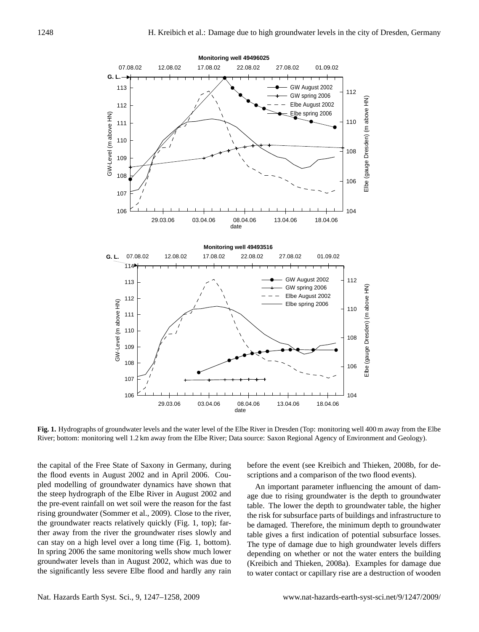

Fig. 1. Hydrographs of groundwater levels and the water level of the Elbe River in Dresden (Top: monitoring well 400 m away from the Elbe River; bottom: monitoring well 1.2 km away from the Elbe River; Data source: Saxon Regional Agency of Environment and Geology).

the capital of the Free State of Saxony in Germany, during the flood events in August 2002 and in April 2006. Coupled modelling of groundwater dynamics have shown that the steep hydrograph of the Elbe River in August 2002 and the pre-event rainfall on wet soil were the reason for the fast rising groundwater (Sommer et al., 2009). Close to the river, the groundwater reacts relatively quickly (Fig. 1, top); farther away from the river the groundwater rises slowly and can stay on a high level over a long time (Fig. 1, bottom). In spring 2006 the same monitoring wells show much lower groundwater levels than in August 2002, which was due to the significantly less severe Elbe flood and hardly any rain before the event (see Kreibich and Thieken, 2008b, for descriptions and a comparison of the two flood events).

An important parameter influencing the amount of damage due to rising groundwater is the depth to groundwater table. The lower the depth to groundwater table, the higher the risk for subsurface parts of buildings and infrastructure to be damaged. Therefore, the minimum depth to groundwater table gives a first indication of potential subsurface losses. The type of damage due to high groundwater levels differs depending on whether or not the water enters the building (Kreibich and Thieken, 2008a). Examples for damage due to water contact or capillary rise are a destruction of wooden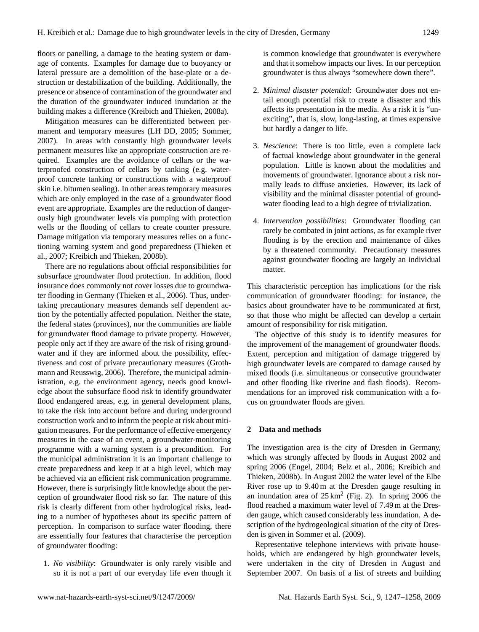floors or panelling, a damage to the heating system or damage of contents. Examples for damage due to buoyancy or lateral pressure are a demolition of the base-plate or a destruction or destabilization of the building. Additionally, the presence or absence of contamination of the groundwater and the duration of the groundwater induced inundation at the building makes a difference (Kreibich and Thieken, 2008a).

Mitigation measures can be differentiated between permanent and temporary measures (LH DD, 2005; Sommer, 2007). In areas with constantly high groundwater levels permanent measures like an appropriate construction are required. Examples are the avoidance of cellars or the waterproofed construction of cellars by tanking (e.g. waterproof concrete tanking or constructions with a waterproof skin i.e. bitumen sealing). In other areas temporary measures which are only employed in the case of a groundwater flood event are appropriate. Examples are the reduction of dangerously high groundwater levels via pumping with protection wells or the flooding of cellars to create counter pressure. Damage mitigation via temporary measures relies on a functioning warning system and good preparedness (Thieken et al., 2007; Kreibich and Thieken, 2008b).

There are no regulations about official responsibilities for subsurface groundwater flood protection. In addition, flood insurance does commonly not cover losses due to groundwater flooding in Germany (Thieken et al., 2006). Thus, undertaking precautionary measures demands self dependent action by the potentially affected population. Neither the state, the federal states (provinces), nor the communities are liable for groundwater flood damage to private property. However, people only act if they are aware of the risk of rising groundwater and if they are informed about the possibility, effectiveness and cost of private precautionary measures (Grothmann and Reusswig, 2006). Therefore, the municipal administration, e.g. the environment agency, needs good knowledge about the subsurface flood risk to identify groundwater flood endangered areas, e.g. in general development plans, to take the risk into account before and during underground construction work and to inform the people at risk about mitigation measures. For the performance of effective emergency measures in the case of an event, a groundwater-monitoring programme with a warning system is a precondition. For the municipal administration it is an important challenge to create preparedness and keep it at a high level, which may be achieved via an efficient risk communication programme. However, there is surprisingly little knowledge about the perception of groundwater flood risk so far. The nature of this risk is clearly different from other hydrological risks, leading to a number of hypotheses about its specific pattern of perception. In comparison to surface water flooding, there are essentially four features that characterise the perception of groundwater flooding:

1. *No visibility*: Groundwater is only rarely visible and so it is not a part of our everyday life even though it is common knowledge that groundwater is everywhere and that it somehow impacts our lives. In our perception groundwater is thus always "somewhere down there".

- 2. *Minimal disaster potential*: Groundwater does not entail enough potential risk to create a disaster and this affects its presentation in the media. As a risk it is "unexciting", that is, slow, long-lasting, at times expensive but hardly a danger to life.
- 3. *Nescience*: There is too little, even a complete lack of factual knowledge about groundwater in the general population. Little is known about the modalities and movements of groundwater. Ignorance about a risk normally leads to diffuse anxieties. However, its lack of visibility and the minimal disaster potential of groundwater flooding lead to a high degree of trivialization.
- 4. *Intervention possibilities*: Groundwater flooding can rarely be combated in joint actions, as for example river flooding is by the erection and maintenance of dikes by a threatened community. Precautionary measures against groundwater flooding are largely an individual matter.

This characteristic perception has implications for the risk communication of groundwater flooding: for instance, the basics about groundwater have to be communicated at first, so that those who might be affected can develop a certain amount of responsibility for risk mitigation.

The objective of this study is to identify measures for the improvement of the management of groundwater floods. Extent, perception and mitigation of damage triggered by high groundwater levels are compared to damage caused by mixed floods (i.e. simultaneous or consecutive groundwater and other flooding like riverine and flash floods). Recommendations for an improved risk communication with a focus on groundwater floods are given.

## **2 Data and methods**

The investigation area is the city of Dresden in Germany, which was strongly affected by floods in August 2002 and spring 2006 (Engel, 2004; Belz et al., 2006; Kreibich and Thieken, 2008b). In August 2002 the water level of the Elbe River rose up to 9.40 m at the Dresden gauge resulting in an inundation area of  $25 \text{ km}^2$  (Fig. 2). In spring 2006 the flood reached a maximum water level of 7.49 m at the Dresden gauge, which caused considerably less inundation. A description of the hydrogeological situation of the city of Dresden is given in Sommer et al. (2009).

Representative telephone interviews with private households, which are endangered by high groundwater levels, were undertaken in the city of Dresden in August and September 2007. On basis of a list of streets and building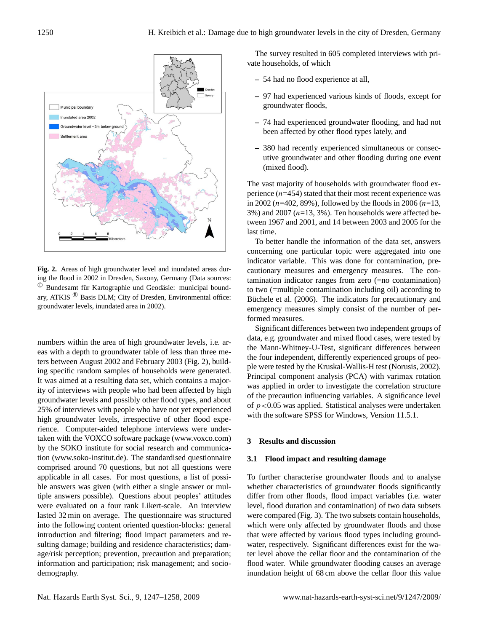

ing the flood in 2002 in Dresden, Saxony, Germany (Data sources: <sup>©</sup> Bundesamt für Kartographie und Geodäsie: municipal boundary, ATKIS ® Basis DLM; City of Dresden, Environmental office: **Fig. 2.** Areas of high groundwater level and inundated areas durgroundwater levels, inundated area in 2002).

It was aimed at a resulting data set, which contains a majornumbers within the area of high groundwater levels, i.e. areas with a depth to groundwater table of less than three meters between August 2002 and February 2003 (Fig. 2), building specific random samples of households were generated. ity of interviews with people who had been affected by high groundwater levels and possibly other flood types, and about 25% of interviews with people who have not yet experienced high groundwater levels, irrespective of other flood experience. Computer-aided telephone interviews were undertaken with the VOXCO software package [\(www.voxco.com\)](www.voxco.com) by the SOKO institute for social research and communication [\(www.soko-institut.de\)](www.soko-institut.de). The standardised questionnaire comprised around 70 questions, but not all questions were applicable in all cases. For most questions, a list of possible answers was given (with either a single answer or multiple answers possible). Questions about peoples' attitudes were evaluated on a four rank Likert-scale. An interview lasted 32 min on average. The questionnaire was structured into the following content oriented question-blocks: general introduction and filtering; flood impact parameters and resulting damage; building and residence characteristics; damage/risk perception; prevention, precaution and preparation; information and participation; risk management; and sociodemography.

The survey resulted in 605 completed interviews with private households, of which

- **–** 54 had no flood experience at all,
- **–** 97 had experienced various kinds of floods, except for groundwater floods,
- **–** 74 had experienced groundwater flooding, and had not been affected by other flood types lately, and
- **–** 380 had recently experienced simultaneous or consecutive groundwater and other flooding during one event (mixed flood).

The vast majority of households with groundwater flood experience  $(n=454)$  stated that their most recent experience was in 2002 ( $n=402$ , 89%), followed by the floods in 2006 ( $n=13$ , 3%) and 2007 ( $n=13, 3%$ ). Ten households were affected between 1967 and 2001, and 14 between 2003 and 2005 for the last time.

To better handle the information of the data set, answers concerning one particular topic were aggregated into one indicator variable. This was done for contamination, precautionary measures and emergency measures. The contamination indicator ranges from zero (=no contamination) to two (=multiple contamination including oil) according to Büchele et al. (2006). The indicators for precautionary and emergency measures simply consist of the number of performed measures.

Significant differences between two independent groups of data, e.g. groundwater and mixed flood cases, were tested by the Mann-Whitney-U-Test, significant differences between the four independent, differently experienced groups of people were tested by the Kruskal-Wallis-H test (Norusis, 2002). Principal component analysis (PCA) with varimax rotation was applied in order to investigate the correlation structure of the precaution influencing variables. A significance level of  $p < 0.05$  was applied. Statistical analyses were undertaken with the software SPSS for Windows, Version 11.5.1.

## **3 Results and discussion**

## **3.1 Flood impact and resulting damage**

To further characterise groundwater floods and to analyse whether characteristics of groundwater floods significantly differ from other floods, flood impact variables (i.e. water level, flood duration and contamination) of two data subsets were compared (Fig. 3). The two subsets contain households, which were only affected by groundwater floods and those that were affected by various flood types including groundwater, respectively. Significant differences exist for the water level above the cellar floor and the contamination of the flood water. While groundwater flooding causes an average inundation height of 68 cm above the cellar floor this value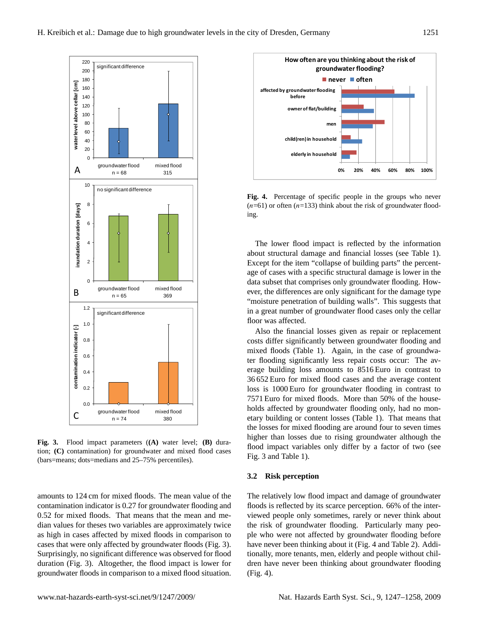

Fig. 3. Flood impact parameters ((A) water level; (B) duration; **(C)** contamination) for groundwater and mixed flood cases (bars=means; dots=medians and 25–75% percentiles).

amounts to 124 cm for mixed floods. The mean value of the contamination indicator is 0.27 for groundwater flooding and 0.52 for mixed floods. That means that the mean and median values for theses two variables are approximately twice as high in cases affected by mixed floods in comparison to cases that were only affected by groundwater floods (Fig. 3). Surprisingly, no significant difference was observed for flood duration (Fig. 3). Altogether, the flood impact is lower for groundwater floods in comparison to a mixed flood situation.



Fig. 4. Percentage of specific people in the groups who never  $(n=61)$  or often (n=133) think about the risk of groundwater flooding.

The lower flood impact is reflected by the information Except for the item "collapse of building parts" the percentage of cases with a specific structural damage is lower in the ever, the differences are only significant for the damage type "moisture penetration of building walls". This suggests that floor was affected. about structural damage and financial losses (see Table 1). data subset that comprises only groundwater flooding. Howin a great number of groundwater flood cases only the cellar

the losses for mixed flooding are around four to seven times Also the financial losses given as repair or replacement essus unter significantly sectional groundwater fissuing and mixed floods (Table 1). Again, in the case of groundwater flooding significantly less repair costs occur: The average building loss amounts to 8516 Euro in contrast to loss is 1000 Euro for groundwater flooding in contrast to 7571 Euro for mixed floods. More than 50% of the house-36 652 Euro for mixed flood cases and the average content costs differ significantly between groundwater flooding and holds affected by groundwater flooding only, had no monetary building or content losses (Table 1). That means that higher than losses due to rising groundwater although the flood impact variables only differ by a factor of two (see Fig. 3 and Table 1).

#### **3.2 Risk perception**

The relatively low flood impact and damage of groundwater floods is reflected by its scarce perception. 66% of the interviewed people only sometimes, rarely or never think about the risk of groundwater flooding. Particularly many people who were not affected by groundwater flooding before have never been thinking about it (Fig. 4 and Table 2). Additionally, more tenants, men, elderly and people without children have never been thinking about groundwater flooding (Fig. 4).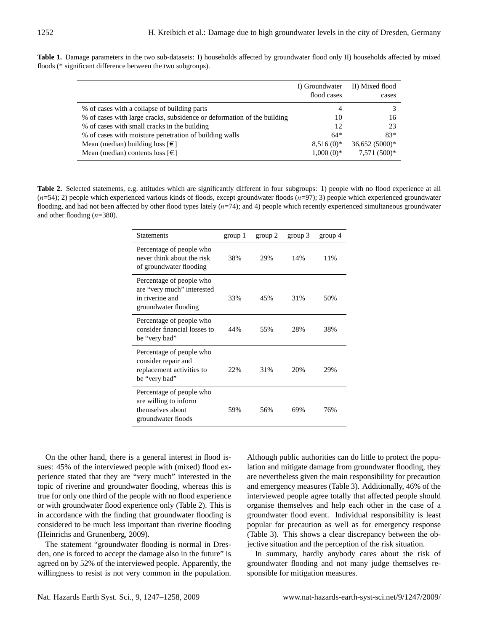| Table 1. Damage parameters in the two sub-datasets: I) households affected by groundwater flood only II) households affected by mixed |  |  |  |  |
|---------------------------------------------------------------------------------------------------------------------------------------|--|--|--|--|
| floods (* significant difference between the two subgroups).                                                                          |  |  |  |  |

|                                                                         | I) Groundwater<br>flood cases | II) Mixed flood<br>cases |
|-------------------------------------------------------------------------|-------------------------------|--------------------------|
| % of cases with a collapse of building parts                            | 4                             |                          |
| % of cases with large cracks, subsidence or deformation of the building | 10                            | 16                       |
| % of cases with small cracks in the building                            | 12                            | 23                       |
| % of cases with moisture penetration of building walls                  | $64*$                         | 83*                      |
| Mean (median) building loss $\lceil \mathcal{E} \rceil$                 | $8,516(0)$ *                  | 36,652 (5000)*           |
| Mean (median) contents loss $\lceil \in \rceil$                         | $1,000(0)*$                   | $7,571(500)*$            |

**Table 2.** Selected statements, e.g. attitudes which are significantly different in four subgroups: 1) people with no flood experience at all  $(n=54)$ ; 2) people which experienced various kinds of floods, except groundwater floods  $(n=97)$ ; 3) people which experienced groundwater flooding, and had not been affected by other flood types lately  $(n=74)$ ; and 4) people which recently experienced simultaneous groundwater and other flooding  $(n=380)$ .

| <b>Statements</b>                                                                                 | group 1 | group 2 | group 3 | group 4 |
|---------------------------------------------------------------------------------------------------|---------|---------|---------|---------|
| Percentage of people who<br>never think about the risk<br>of groundwater flooding                 | 38%     | 29%     | 14%     | 11%     |
| Percentage of people who<br>are "very much" interested<br>in riverine and<br>groundwater flooding | 33%     | 45%     | 31%     | 50%     |
| Percentage of people who<br>consider financial losses to<br>be "very bad"                         | 44%     | 55%     | 28%     | 38%     |
| Percentage of people who<br>consider repair and<br>replacement activities to<br>be "very bad"     | 22%     | 31%     | 20%     | 29%     |
| Percentage of people who<br>are willing to inform<br>themselves about<br>groundwater floods       | 59%     | 56%     | 69%     | 76%     |

On the other hand, there is a general interest in flood issues: 45% of the interviewed people with (mixed) flood experience stated that they are "very much" interested in the topic of riverine and groundwater flooding, whereas this is true for only one third of the people with no flood experience or with groundwater flood experience only (Table 2). This is in accordance with the finding that groundwater flooding is considered to be much less important than riverine flooding (Heinrichs and Grunenberg, 2009).

The statement "groundwater flooding is normal in Dresden, one is forced to accept the damage also in the future" is agreed on by 52% of the interviewed people. Apparently, the willingness to resist is not very common in the population.

Although public authorities can do little to protect the population and mitigate damage from groundwater flooding, they are nevertheless given the main responsibility for precaution and emergency measures (Table 3). Additionally, 46% of the interviewed people agree totally that affected people should organise themselves and help each other in the case of a groundwater flood event. Individual responsibility is least popular for precaution as well as for emergency response (Table 3). This shows a clear discrepancy between the objective situation and the perception of the risk situation.

In summary, hardly anybody cares about the risk of groundwater flooding and not many judge themselves responsible for mitigation measures.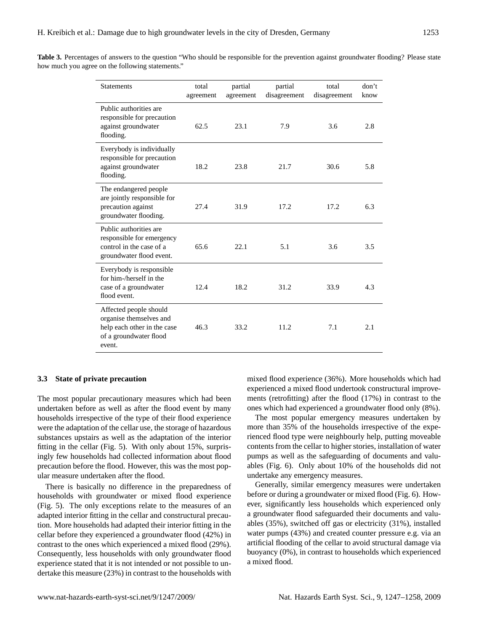**Table 3.** Percentages of answers to the question "Who should be responsible for the prevention against groundwater flooding? Please state how much you agree on the following statements."

| <b>Statements</b>                                                                                                    | total<br>agreement | partial<br>agreement | partial<br>disagreement | total<br>disagreement | don't<br>know |
|----------------------------------------------------------------------------------------------------------------------|--------------------|----------------------|-------------------------|-----------------------|---------------|
| Public authorities are<br>responsible for precaution<br>against groundwater<br>flooding.                             | 62.5               | 23.1                 | 7.9                     | 3.6                   | 2.8           |
| Everybody is individually<br>responsible for precaution<br>against groundwater<br>flooding.                          | 18.2               | 23.8                 | 21.7                    | 30.6                  | 5.8           |
| The endangered people<br>are jointly responsible for<br>precaution against<br>groundwater flooding.                  | 27.4               | 31.9                 | 17.2                    | 17.2                  | 6.3           |
| Public authorities are<br>responsible for emergency<br>control in the case of a<br>groundwater flood event.          | 65.6               | 22.1                 | 5.1                     | 3.6                   | 3.5           |
| Everybody is responsible.<br>for him-/herself in the<br>case of a groundwater<br>flood event.                        | 12.4               | 18.2                 | 31.2                    | 33.9                  | 4.3           |
| Affected people should<br>organise themselves and<br>help each other in the case<br>of a groundwater flood<br>event. | 46.3               | 33.2                 | 11.2                    | 7.1                   | 2.1           |

#### **3.3 State of private precaution**

The most popular precautionary measures which had been undertaken before as well as after the flood event by many households irrespective of the type of their flood experience were the adaptation of the cellar use, the storage of hazardous substances upstairs as well as the adaptation of the interior fitting in the cellar (Fig. 5). With only about 15%, surprisingly few households had collected information about flood precaution before the flood. However, this was the most popular measure undertaken after the flood.

There is basically no difference in the preparedness of households with groundwater or mixed flood experience (Fig. 5). The only exceptions relate to the measures of an adapted interior fitting in the cellar and constructural precaution. More households had adapted their interior fitting in the cellar before they experienced a groundwater flood (42%) in contrast to the ones which experienced a mixed flood (29%). Consequently, less households with only groundwater flood experience stated that it is not intended or not possible to undertake this measure (23%) in contrast to the households with mixed flood experience (36%). More households which had experienced a mixed flood undertook constructural improvements (retrofitting) after the flood (17%) in contrast to the ones which had experienced a groundwater flood only (8%).

The most popular emergency measures undertaken by more than 35% of the households irrespective of the experienced flood type were neighbourly help, putting moveable contents from the cellar to higher stories, installation of water pumps as well as the safeguarding of documents and valuables (Fig. 6). Only about 10% of the households did not undertake any emergency measures.

Generally, similar emergency measures were undertaken before or during a groundwater or mixed flood (Fig. 6). However, significantly less households which experienced only a groundwater flood safeguarded their documents and valuables (35%), switched off gas or electricity (31%), installed water pumps (43%) and created counter pressure e.g. via an artificial flooding of the cellar to avoid structural damage via buoyancy (0%), in contrast to households which experienced a mixed flood.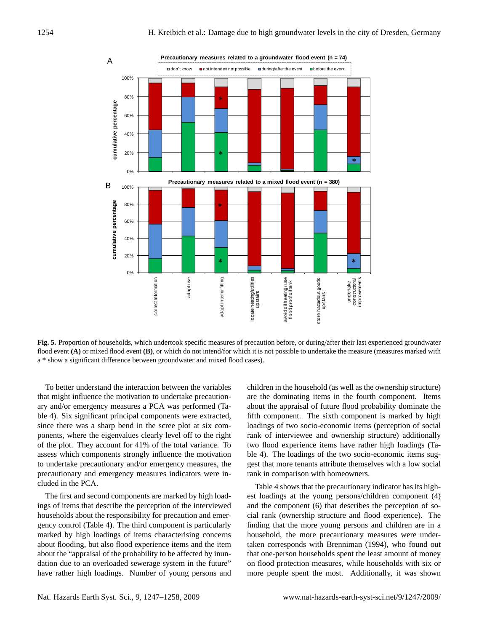

Fig. 5. Proportion of households, which undertook specific measures of precaution before, or during/after their last experienced groundwater flood event **(A)** or mixed flood event **(B)**, or which do not intend/for which it is not possible to undertake the measure (measures marked with a **\*** show a significant difference between groundwater and mixed flood cases).

To better understand the interaction between the variables that might influence the motivation to undertake precautionary and/or emergency measures a PCA was performed (Table 4). Six significant principal components were extracted, since there was a sharp bend in the scree plot at six components, where the eigenvalues clearly level off to the right of the plot. They account for 41% of the total variance. To assess which components strongly influence the motivation to undertake precautionary and/or emergency measures, the precautionary and emergency measures indicators were included in the PCA.

The first and second components are marked by high loadings of items that describe the perception of the interviewed households about the responsibility for precaution and emergency control (Table 4). The third component is particularly marked by high loadings of items characterising concerns about flooding, but also flood experience items and the item about the "appraisal of the probability to be affected by inundation due to an overloaded sewerage system in the future" have rather high loadings. Number of young persons and children in the household (as well as the ownership structure) are the dominating items in the fourth component. Items about the appraisal of future flood probability dominate the fifth component. The sixth component is marked by high loadings of two socio-economic items (perception of social rank of interviewee and ownership structure) additionally two flood experience items have rather high loadings (Table 4). The loadings of the two socio-economic items suggest that more tenants attribute themselves with a low social rank in comparison with homeowners.

Table 4 shows that the precautionary indicator has its highest loadings at the young persons/children component (4) and the component (6) that describes the perception of social rank (ownership structure and flood experience). The finding that the more young persons and children are in a household, the more precautionary measures were undertaken corresponds with Brenniman (1994), who found out that one-person households spent the least amount of money on flood protection measures, while households with six or more people spent the most. Additionally, it was shown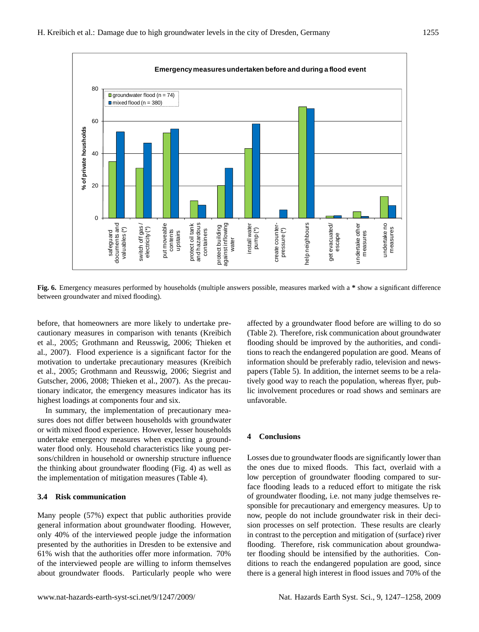

Fig. 6. Emergency measures performed by households (multiple answers possible, measures marked with a \* show a significant difference between groundwater and mixed flooding).

tionary indicator, the emergency measures indicator has its lic involvement procedur before, that homeowners are more likely to undertake precautionary measures in comparison with tenants (Kreibich et al., 2005; Grothmann and Reusswig, 2006; Thieken et al., 2007). Flood experience is a significant factor for the motivation to undertake precautionary measures (Kreibich et al., 2005; Grothmann and Reusswig, 2006; Siegrist and Gutscher, 2006, 2008; Thieken et al., 2007). As the precauhighest loadings at components four and six.

sures does not differ between households with groundwater the implementation of mitigation measures (Table 4). or with mixed flood experience. However, lesser households undertake emergency measures when expecting a ground-<br> **4 Conclusions** water flood only. Household characteristics like young persons/children in household or ownership structure influence the thinking about groundwater flooding (Fig. 4) as well as the In summary, the implementation of precautionary mea-

## **3.4 Risk communication**

Many people (57%) expect that public authorities provide general information about groundwater flooding. However, sion only 40% of the interviewed people judge the information presented by the authorities in Dresden to be extensive and for  $\frac{1}{20}$  wish that the authorities offer more information.  $\frac{1}{20}$  of the interviewed people are willing to inform themselves of the interviewed people are wining to inform themserves<br>about groundwater floods. Particularly people who were  $61\%$  wish that the authorities offer more information. 70% ter f

5; Grothmann and Reusswig, 2006; Thieken et flooding should be improved by the authorities, and condi-<br>Flood authorities is a similar factor for the string to under and have also prediction are seed. Moreover, by andertake precautionary measures (Krebben and mormation should be preferably radio, the vision and hews<br>5; Grothmann and Reusswig, 2006; Siegrist and papers (Table 5). In addition, the internet seems to be a relaaffected by a groundwater flood before are willing to do so (Table 2). Therefore, risk communication about groundwater tions to reach the endangered population are good. Means of information should be preferably radio, television and newstively good way to reach the population, whereas flyer, public involvement procedures or road shows and seminars are unfavorable.

#### **4 Conclusions**

Losses due to groundwater floods are significantly lower than low perception of groundwater flooding compared to sur- $\frac{61}{100}$ sponsible for precautionary and emergency measures. Up to sion processes on self protection. These results are clearly ter flooding should be intensified by the authorities. Con-Particularly people who were there is a general high interest in flood issues and 70% of the the ones due to mixed floods. This fact, overlaid with a face flooding leads to a reduced effort to mitigate the risk of groundwater flooding, i.e. not many judge themselves renow, people do not include groundwater risk in their deciin contrast to the perception and mitigation of (surface) river flooding. Therefore, risk communication about groundwaditions to reach the endangered population are good, since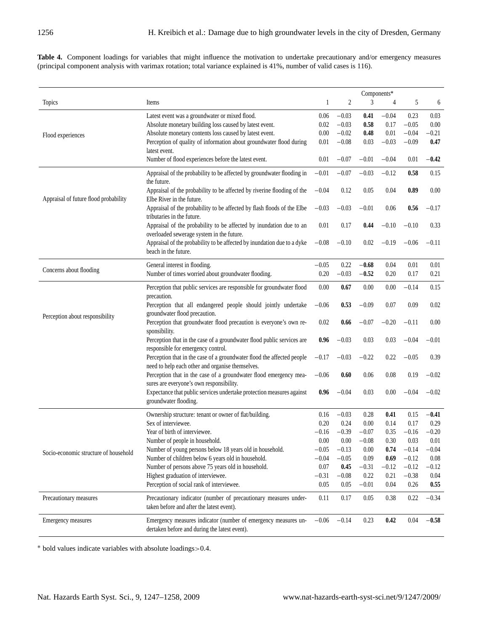**Table 4.** Component loadings for variables that might influence the motivation to undertake precautionary and/or emergency measures (principal component analysis with varimax rotation; total variance explained is 41%, number of valid cases is 116).

|                                       |                                                                                                                       | Components* |         |         |          |         |          |
|---------------------------------------|-----------------------------------------------------------------------------------------------------------------------|-------------|---------|---------|----------|---------|----------|
| Topics                                | Items                                                                                                                 | 1           | 2       | 3       | 4        | 5       | 6        |
|                                       | Latest event was a groundwater or mixed flood.                                                                        | 0.06        | $-0.03$ | 0.41    | $-0.04$  | 0.23    | 0.03     |
|                                       | Absolute monetary building loss caused by latest event.                                                               | 0.02        | $-0.03$ | 0.58    | 0.17     | $-0.05$ | 0.00     |
| Flood experiences                     | Absolute monetary contents loss caused by latest event.                                                               | 0.00        | $-0.02$ | 0.48    | 0.01     | $-0.04$ | $-0.21$  |
|                                       | Perception of quality of information about groundwater flood during                                                   | 0.01        | $-0.08$ | 0.03    | $-0.03$  | $-0.09$ | 0.47     |
|                                       | latest event.<br>Number of flood experiences before the latest event.                                                 | 0.01        | $-0.07$ | $-0.01$ | $-0.04$  | 0.01    | $-0.42$  |
|                                       |                                                                                                                       |             |         |         |          |         |          |
|                                       | Appraisal of the probability to be affected by groundwater flooding in<br>the future.                                 | $-0.01$     | $-0.07$ | $-0.03$ | $-0.12$  | 0.58    | 0.15     |
| Appraisal of future flood probability | Appraisal of the probability to be affected by riverine flooding of the<br>Elbe River in the future.                  | $-0.04$     | 0.12    | 0.05    | 0.04     | 0.89    | 0.00     |
|                                       | Appraisal of the probability to be affected by flash floods of the Elbe<br>tributaries in the future.                 | $-0.03$     | $-0.03$ | $-0.01$ | 0.06     | 0.56    | $-0.17$  |
|                                       | Appraisal of the probability to be affected by inundation due to an<br>overloaded sewerage system in the future.      | 0.01        | 0.17    | 0.44    | $-0.10$  | $-0.10$ | 0.33     |
|                                       | Appraisal of the probability to be affected by inundation due to a dyke                                               | $-0.08$     | $-0.10$ | 0.02    | $-0.19$  | $-0.06$ | $-0.11$  |
|                                       | beach in the future.                                                                                                  |             |         |         |          |         |          |
|                                       | General interest in flooding.                                                                                         | $-0.05$     | 0.22    | $-0.68$ | 0.04     | 0.01    | $0.01\,$ |
| Concerns about flooding               | Number of times worried about groundwater flooding.                                                                   | 0.20        | $-0.03$ | $-0.52$ | $0.20\,$ | 0.17    | 0.21     |
|                                       | Perception that public services are responsible for groundwater flood<br>precaution.                                  | 0.00        | 0.67    | 0.00    | 0.00     | $-0.14$ | 0.15     |
|                                       | Perception that all endangered people should jointly undertake                                                        | $-0.06$     | 0.53    | $-0.09$ | 0.07     | 0.09    | 0.02     |
| Perception about responsibility       | groundwater flood precaution.<br>Perception that groundwater flood precaution is everyone's own re-                   | 0.02        | 0.66    | $-0.07$ | $-0.20$  | $-0.11$ | 0.00     |
|                                       | sponsibility.<br>Perception that in the case of a groundwater flood public services are                               | 0.96        | $-0.03$ | 0.03    | 0.03     | $-0.04$ | $-0.01$  |
|                                       | responsible for emergency control.<br>Perception that in the case of a groundwater flood the affected people          | $-0.17$     | $-0.03$ | $-0.22$ | 0.22     | $-0.05$ | 0.39     |
|                                       | need to help each other and organise themselves.<br>Perception that in the case of a groundwater flood emergency mea- | $-0.06$     | 0.60    | 0.06    | 0.08     | 0.19    | $-0.02$  |
|                                       | sures are everyone's own responsibility.                                                                              |             |         |         |          |         |          |
|                                       | Expectance that public services undertake protection measures against<br>groundwater flooding.                        | 0.96        | $-0.04$ | 0.03    | 0.00     | $-0.04$ | $-0.02$  |
|                                       | Ownership structure: tenant or owner of flat/building.                                                                | 0.16        | $-0.03$ | 0.28    | 0.41     | 0.15    | $-0.41$  |
|                                       | Sex of interviewee.                                                                                                   | 0.20        | 0.24    | 0.00    | 0.14     | 0.17    | 0.29     |
|                                       | Year of birth of interviewee.                                                                                         | $-0.16$     | $-0.39$ | $-0.07$ | 0.35     | $-0.16$ | $-0.20$  |
|                                       | Number of people in household.                                                                                        | 0.00        | 0.00    | $-0.08$ | 0.30     | 0.03    | 0.01     |
|                                       | Number of young persons below 18 years old in household.                                                              | $-0.05$     | $-0.13$ | 0.00    | 0.74     | $-0.14$ | $-0.04$  |
| Socio-economic structure of household | Number of children below 6 years old in household.                                                                    | $-0.04$     | $-0.05$ | 0.09    | 0.69     | $-0.12$ | $0.08\,$ |
|                                       | Number of persons above 75 years old in household.                                                                    | 0.07        | 0.45    | $-0.31$ | $-0.12$  | $-0.12$ | $-0.12$  |
|                                       | Highest graduation of interviewee.                                                                                    | $-0.31$     | $-0.08$ | 0.22    | 0.21     | $-0.38$ | 0.04     |
|                                       | Perception of social rank of interviewee.                                                                             | 0.05        | 0.05    | $-0.01$ | 0.04     | 0.26    | 0.55     |
| Precautionary measures                | Precautionary indicator (number of precautionary measures under-<br>taken before and after the latest event).         | 0.11        | 0.17    | 0.05    | 0.38     | 0.22    | $-0.34$  |
| Emergency measures                    | Emergency measures indicator (number of emergency measures un-<br>dertaken before and during the latest event).       | $-0.06$     | $-0.14$ | 0.23    | 0.42     | 0.04    | $-0.58$  |

<sup>∗</sup> bold values indicate variables with absolute loadings>0.4.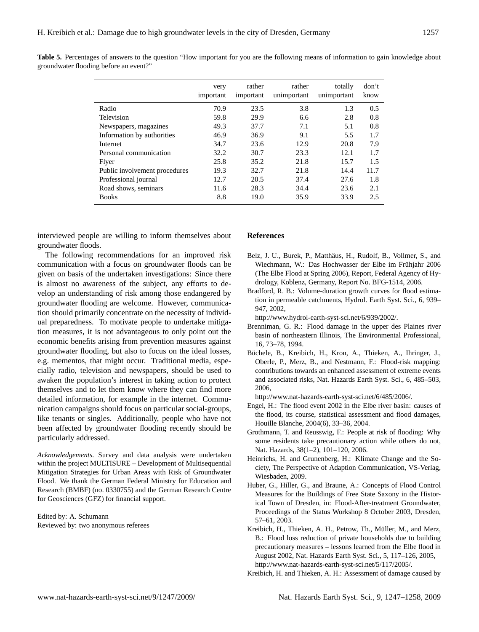|                               | very<br>important | rather<br>important | rather<br>unimportant | totally<br>unimportant | don't<br>know |
|-------------------------------|-------------------|---------------------|-----------------------|------------------------|---------------|
| Radio                         | 70.9              | 23.5                | 3.8                   | 1.3                    | 0.5           |
| Television                    | 59.8              | 29.9                | 6.6                   | 2.8                    | 0.8           |
| Newspapers, magazines         | 49.3              | 37.7                | 7.1                   | 5.1                    | 0.8           |
| Information by authorities    | 46.9              | 36.9                | 9.1                   | 5.5                    | 1.7           |
| Internet                      | 34.7              | 23.6                | 12.9                  | 20.8                   | 7.9           |
| Personal communication        | 32.2              | 30.7                | 23.3                  | 12.1                   | 1.7           |
| Flyer                         | 25.8              | 35.2                | 21.8                  | 15.7                   | 1.5           |
| Public involvement procedures | 19.3              | 32.7                | 21.8                  | 14.4                   | 11.7          |
| Professional journal          | 12.7              | 20.5                | 37.4                  | 27.6                   | 1.8           |
| Road shows, seminars          | 11.6              | 28.3                | 34.4                  | 23.6                   | 2.1           |
| <b>Books</b>                  | 8.8               | 19.0                | 35.9                  | 33.9                   | 2.5           |

**Table 5.** Percentages of answers to the question "How important for you are the following means of information to gain knowledge about groundwater flooding before an event?"

interviewed people are willing to inform themselves about groundwater floods.

The following recommendations for an improved risk communication with a focus on groundwater floods can be given on basis of the undertaken investigations: Since there is almost no awareness of the subject, any efforts to develop an understanding of risk among those endangered by groundwater flooding are welcome. However, communication should primarily concentrate on the necessity of individual preparedness. To motivate people to undertake mitigation measures, it is not advantageous to only point out the economic benefits arising from prevention measures against groundwater flooding, but also to focus on the ideal losses, e.g. mementos, that might occur. Traditional media, especially radio, television and newspapers, should be used to awaken the population's interest in taking action to protect themselves and to let them know where they can find more detailed information, for example in the internet. Communication campaigns should focus on particular social-groups, like tenants or singles. Additionally, people who have not been affected by groundwater flooding recently should be particularly addressed.

*Acknowledgements.* Survey and data analysis were undertaken within the project MULTISURE – Development of Multisequential Mitigation Strategies for Urban Areas with Risk of Groundwater Flood. We thank the German Federal Ministry for Education and Research (BMBF) (no. 0330755) and the German Research Centre for Geosciences (GFZ) for financial support.

Edited by: A. Schumann Reviewed by: two anonymous referees

#### **References**

- Belz, J. U., Burek, P., Matthäus, H., Rudolf, B., Vollmer, S., and Wiechmann, W.: Das Hochwasser der Elbe im Frühjahr 2006 (The Elbe Flood at Spring 2006), Report, Federal Agency of Hydrology, Koblenz, Germany, Report No. BFG-1514, 2006.
- Bradford, R. B.: Volume-duration growth curves for flood estimation in permeable catchments, Hydrol. Earth Syst. Sci., 6, 939– 947, 2002,

[http://www.hydrol-earth-syst-sci.net/6/939/2002/.](http://www.hydrol-earth-syst-sci.net/6/939/2002/)

- Brenniman, G. R.: Flood damage in the upper des Plaines river basin of northeastern Illinois, The Environmental Professional, 16, 73–78, 1994.
- Büchele, B., Kreibich, H., Kron, A., Thieken, A., Ihringer, J., Oberle, P., Merz, B., and Nestmann, F.: Flood-risk mapping: contributions towards an enhanced assessment of extreme events and associated risks, Nat. Hazards Earth Syst. Sci., 6, 485–503, 2006,

[http://www.nat-hazards-earth-syst-sci.net/6/485/2006/.](http://www.nat-hazards-earth-syst-sci.net/6/485/2006/)

- Engel, H.: The flood event 2002 in the Elbe river basin: causes of the flood, its course, statistical assessment and flood damages, Houille Blanche, 2004(6), 33–36, 2004.
- Grothmann, T. and Reusswig, F.: People at risk of flooding: Why some residents take precautionary action while others do not, Nat. Hazards, 38(1–2), 101–120, 2006.
- Heinrichs, H. and Grunenberg, H.: Klimate Change and the Society, The Perspective of Adaption Communication, VS-Verlag, Wiesbaden, 2009.
- Huber, G., Hiller, G., and Braune, A.: Concepts of Flood Control Measures for the Buildings of Free State Saxony in the Historical Town of Dresden, in: Flood-After-treatment Groundwater, Proceedings of the Status Workshop 8 October 2003, Dresden, 57–61, 2003.
- Kreibich, H., Thieken, A. H., Petrow, Th., Müller, M., and Merz, B.: Flood loss reduction of private households due to building precautionary measures – lessons learned from the Elbe flood in August 2002, Nat. Hazards Earth Syst. Sci., 5, 117–126, 2005, [http://www.nat-hazards-earth-syst-sci.net/5/117/2005/.](http://www.nat-hazards-earth-syst-sci.net/5/117/2005/)
- Kreibich, H. and Thieken, A. H.: Assessment of damage caused by